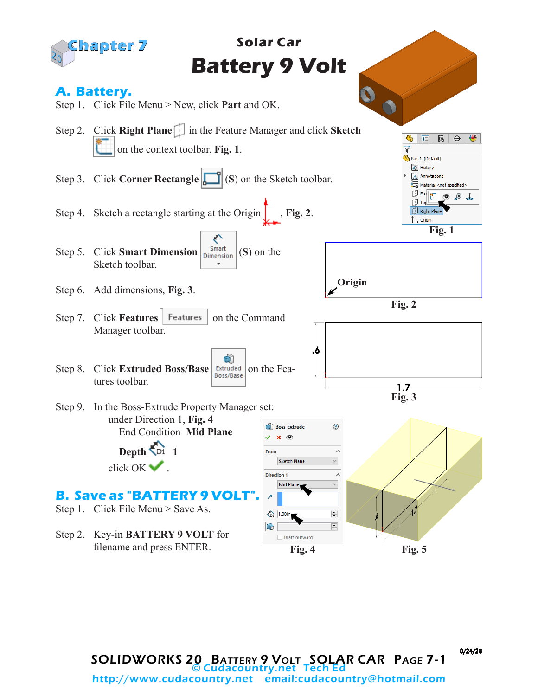

8/24/20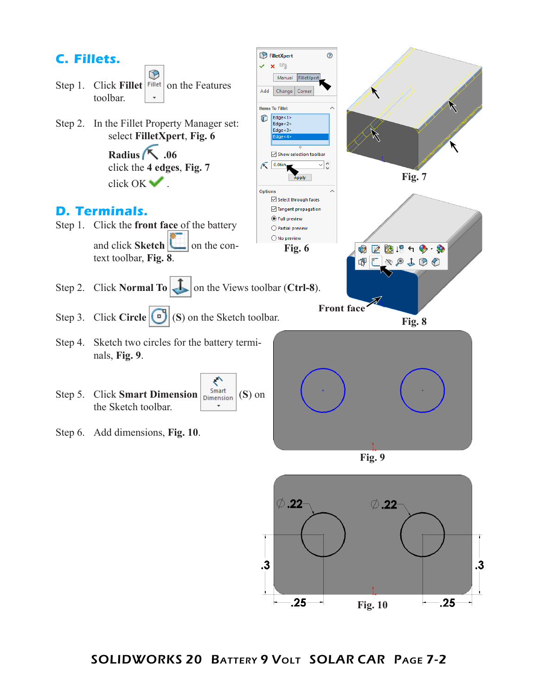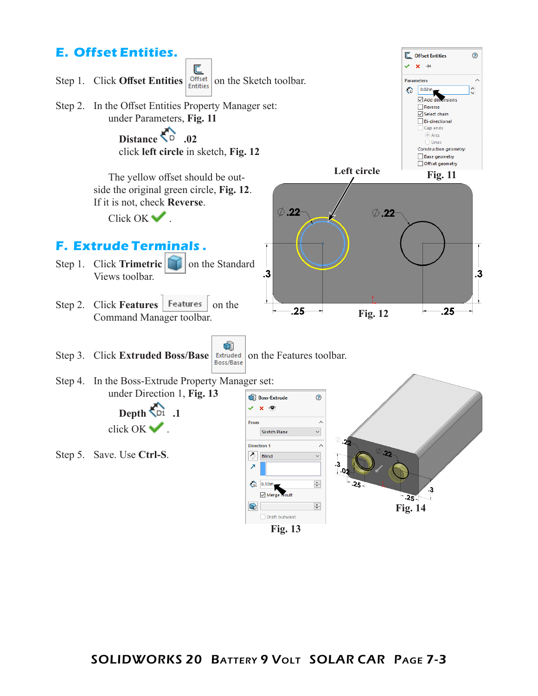

**Fig. 13**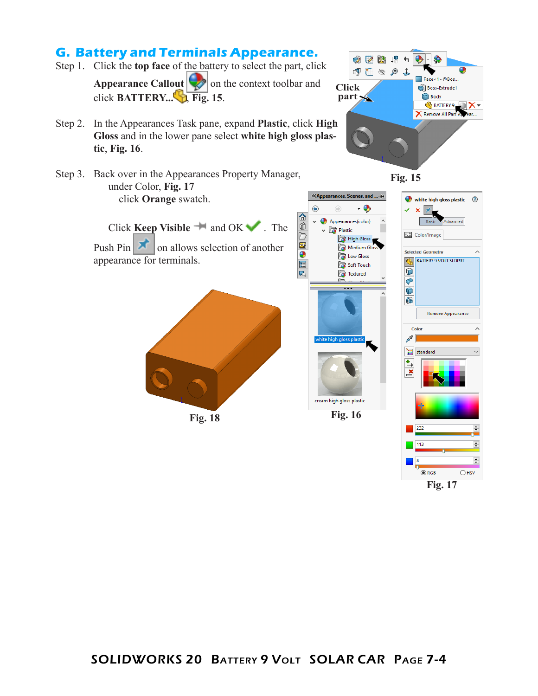

**Fig. 17**